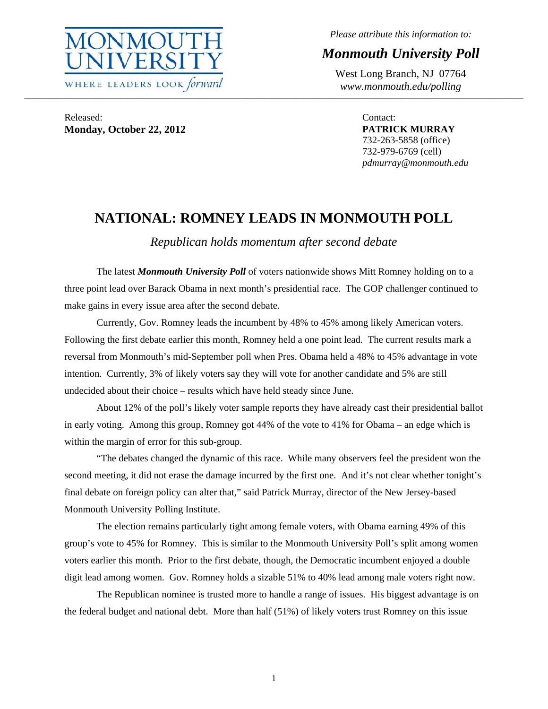

*Please attribute this information to:* 

# *Monmouth University Poll*

West Long Branch, NJ 07764 *www.monmouth.edu/polling* 

Released: **Monday, October 22, 2012** 

Contact: **PATRICK MURRAY**  732-263-5858 (office) 732-979-6769 (cell) *pdmurray@monmouth.edu* 

# **NATIONAL: ROMNEY LEADS IN MONMOUTH POLL**

**\_\_\_\_\_\_\_\_\_\_\_\_\_\_\_\_\_\_\_\_\_\_\_\_\_\_\_\_\_\_\_\_\_\_\_\_\_\_\_\_\_\_\_\_\_\_\_\_\_\_\_\_\_\_\_\_\_\_\_\_\_\_\_\_\_\_\_\_\_\_\_\_\_\_\_\_\_\_\_\_\_\_\_\_\_\_\_\_\_\_\_\_\_\_\_\_\_\_\_\_\_\_\_\_\_\_\_\_\_\_\_\_\_\_\_\_\_\_\_\_\_\_\_\_\_\_\_\_\_\_\_\_\_\_\_\_\_\_\_\_\_\_\_\_\_\_\_\_\_\_\_\_\_\_\_\_\_\_\_\_\_\_\_\_\_\_\_\_\_\_\_\_\_\_\_\_\_\_\_\_\_\_\_\_\_\_\_\_\_\_\_\_\_\_\_\_\_\_\_\_\_\_\_\_\_\_\_\_\_\_\_\_\_\_\_\_\_\_\_\_\_\_\_\_\_\_\_\_\_\_\_\_\_\_\_\_\_\_\_\_\_\_\_\_\_\_\_\_\_\_\_\_\_\_\_\_\_\_\_\_\_\_\_\_\_\_\_\_\_\_\_\_\_\_\_\_\_\_\_** 

*Republican holds momentum after second debate* 

 The latest *Monmouth University Poll* of voters nationwide shows Mitt Romney holding on to a three point lead over Barack Obama in next month's presidential race. The GOP challenger continued to make gains in every issue area after the second debate.

 Currently, Gov. Romney leads the incumbent by 48% to 45% among likely American voters. Following the first debate earlier this month, Romney held a one point lead. The current results mark a reversal from Monmouth's mid-September poll when Pres. Obama held a 48% to 45% advantage in vote intention. Currently, 3% of likely voters say they will vote for another candidate and 5% are still undecided about their choice – results which have held steady since June.

 About 12% of the poll's likely voter sample reports they have already cast their presidential ballot in early voting. Among this group, Romney got 44% of the vote to 41% for Obama – an edge which is within the margin of error for this sub-group.

 "The debates changed the dynamic of this race. While many observers feel the president won the second meeting, it did not erase the damage incurred by the first one. And it's not clear whether tonight's final debate on foreign policy can alter that," said Patrick Murray, director of the New Jersey-based Monmouth University Polling Institute.

 The election remains particularly tight among female voters, with Obama earning 49% of this group's vote to 45% for Romney. This is similar to the Monmouth University Poll's split among women voters earlier this month. Prior to the first debate, though, the Democratic incumbent enjoyed a double digit lead among women. Gov. Romney holds a sizable 51% to 40% lead among male voters right now.

 The Republican nominee is trusted more to handle a range of issues. His biggest advantage is on the federal budget and national debt. More than half (51%) of likely voters trust Romney on this issue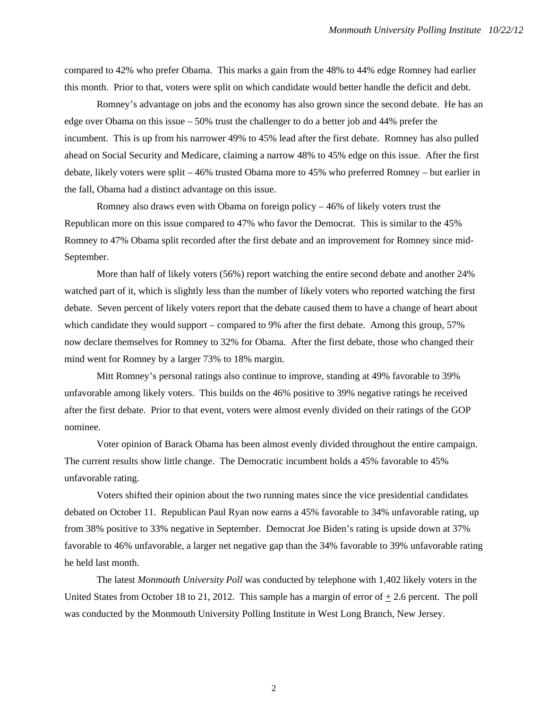compared to 42% who prefer Obama. This marks a gain from the 48% to 44% edge Romney had earlier this month. Prior to that, voters were split on which candidate would better handle the deficit and debt.

 Romney's advantage on jobs and the economy has also grown since the second debate. He has an edge over Obama on this issue – 50% trust the challenger to do a better job and 44% prefer the incumbent. This is up from his narrower 49% to 45% lead after the first debate. Romney has also pulled ahead on Social Security and Medicare, claiming a narrow 48% to 45% edge on this issue. After the first debate, likely voters were split – 46% trusted Obama more to 45% who preferred Romney – but earlier in the fall, Obama had a distinct advantage on this issue.

 Romney also draws even with Obama on foreign policy – 46% of likely voters trust the Republican more on this issue compared to 47% who favor the Democrat. This is similar to the 45% Romney to 47% Obama split recorded after the first debate and an improvement for Romney since mid-September.

 More than half of likely voters (56%) report watching the entire second debate and another 24% watched part of it, which is slightly less than the number of likely voters who reported watching the first debate. Seven percent of likely voters report that the debate caused them to have a change of heart about which candidate they would support – compared to 9% after the first debate. Among this group, 57% now declare themselves for Romney to 32% for Obama. After the first debate, those who changed their mind went for Romney by a larger 73% to 18% margin.

 Mitt Romney's personal ratings also continue to improve, standing at 49% favorable to 39% unfavorable among likely voters. This builds on the 46% positive to 39% negative ratings he received after the first debate. Prior to that event, voters were almost evenly divided on their ratings of the GOP nominee.

 Voter opinion of Barack Obama has been almost evenly divided throughout the entire campaign. The current results show little change. The Democratic incumbent holds a 45% favorable to 45% unfavorable rating.

 Voters shifted their opinion about the two running mates since the vice presidential candidates debated on October 11. Republican Paul Ryan now earns a 45% favorable to 34% unfavorable rating, up from 38% positive to 33% negative in September. Democrat Joe Biden's rating is upside down at 37% favorable to 46% unfavorable, a larger net negative gap than the 34% favorable to 39% unfavorable rating he held last month.

The latest *Monmouth University Poll* was conducted by telephone with 1,402 likely voters in the United States from October 18 to 21, 2012. This sample has a margin of error of  $+2.6$  percent. The poll was conducted by the Monmouth University Polling Institute in West Long Branch, New Jersey.

2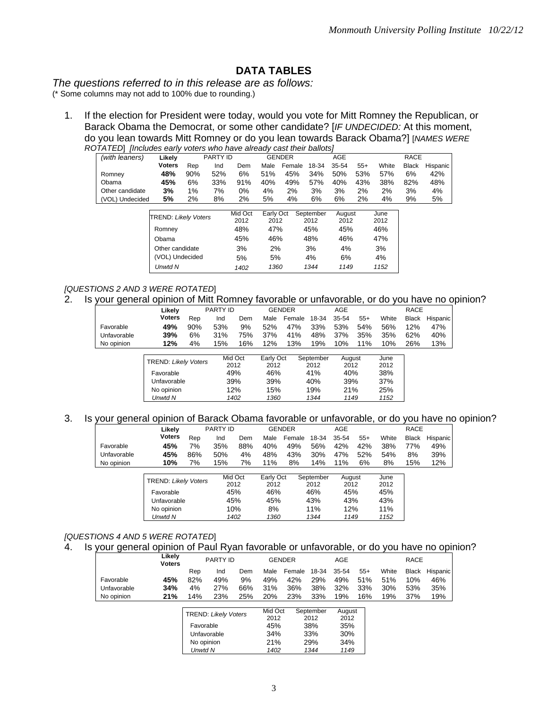# **DATA TABLES**

*The questions referred to in this release are as follows:* 

(\* Some columns may not add to 100% due to rounding.)

1. If the election for President were today, would you vote for Mitt Romney the Republican, or Barack Obama the Democrat, or some other candidate? [*IF UNDECIDED:* At this moment, do you lean towards Mitt Romney or do you lean towards Barack Obama?] [*NAMES WERE ROTATED*] *[Includes early voters who have already cast their ballots]*

| , , , , , , ,   | Iniciades edity vultis wito have alleady cast their ballots! |     |                 |         |           |               |           |        |       |       |              |          |
|-----------------|--------------------------------------------------------------|-----|-----------------|---------|-----------|---------------|-----------|--------|-------|-------|--------------|----------|
| (with leaners)  | Likelv                                                       |     | <b>PARTY ID</b> |         |           | <b>GENDER</b> |           | AGE    |       |       | <b>RACE</b>  |          |
|                 | <b>Voters</b>                                                | Rep | Ind             | Dem     | Male      | Female        | 18-34     | 35-54  | $55+$ | White | <b>Black</b> | Hispanic |
| Romney          | 48%                                                          | 90% | 52%             | 6%      | 51%       | 45%           | 34%       | 50%    | 53%   | 57%   | 6%           | 42%      |
| Obama           | 45%                                                          | 6%  | 33%             | 91%     | 40%       | 49%           | 57%       | 40%    | 43%   | 38%   | 82%          | 48%      |
| Other candidate | 3%                                                           | 1%  | 7%              | 0%      | 4%        | 2%            | 3%        | 3%     | 2%    | 2%    | 3%           | 4%       |
| (VOL) Undecided | 5%                                                           | 2%  | 8%              | 2%      | 5%        | 4%            | 6%        | 6%     | 2%    | 4%    | 9%           | 5%       |
|                 |                                                              |     |                 |         |           |               |           |        |       |       |              |          |
|                 | TREND: Likely Voters                                         |     |                 | Mid Oct | Early Oct |               | September | August |       | June  |              |          |
|                 |                                                              |     |                 | 2012    | 2012      |               | 2012      | 2012   |       | 2012  |              |          |
|                 | Romney                                                       |     |                 | 48%     | 47%       |               | 45%       | 45%    |       | 46%   |              |          |
|                 | Obama                                                        |     |                 | 45%     | 46%       |               | 48%       | 46%    |       | 47%   |              |          |
|                 | Other candidate                                              |     |                 | 3%      | 2%        |               | 3%        | 4%     |       | 3%    |              |          |
|                 | (VOL) Undecided                                              |     |                 | 5%      | 5%        |               | 4%        | 6%     |       | 4%    |              |          |

## *[QUESTIONS 2 AND 3 WERE ROTATED*]

2. Is your general opinion of Mitt Romney favorable or unfavorable, or do you have no opinion?

*Unwtd N 1402 1360 1344 1149 1152*

| ີ           |                             |     |                 |                 |                   |               |                   |                |       |              |              |          |
|-------------|-----------------------------|-----|-----------------|-----------------|-------------------|---------------|-------------------|----------------|-------|--------------|--------------|----------|
|             | Likely                      |     | <b>PARTY ID</b> |                 |                   | <b>GENDER</b> |                   | <b>AGE</b>     |       |              | <b>RACE</b>  |          |
|             | <b>Voters</b>               | Rep | Ind             | Dem             | Male              | Female        | 18-34             | 35-54          | $55+$ | White        | <b>Black</b> | Hispanic |
| Favorable   | 49%                         | 90% | 53%             | 9%              | 52%               | 47%           | 33%               | 53%            | 54%   | 56%          | 12%          | 47%      |
| Unfavorable | 39%                         | 6%  | 31%             | 75%             | 37%               | 41%           | 48%               | 37%            | 35%   | 35%          | 62%          | 40%      |
| No opinion  | 12%                         | 4%  | 15%             | 16%             | 12%               | 13%           | 19%               | 10%            | 11%   | 10%          | 26%          | 13%      |
|             | <b>TREND: Likely Voters</b> |     |                 | Mid Oct<br>2012 | Early Oct<br>2012 |               | September<br>2012 | August<br>2012 |       | June<br>2012 |              |          |
|             | Favorable                   |     |                 | 49%             | 46%               |               | 41%               | 40%            |       | 38%          |              |          |
|             | Unfavorable                 |     |                 | 39%             | 39%               |               | 40%               | 39%            |       | 37%          |              |          |
|             | No opinion                  |     |                 | 12%             | 15%               |               | 19%               | 21%            |       | 25%          |              |          |
|             | Unwtd N                     |     |                 | 1402            | 1360              |               | 1344              | 1149           |       | 1152         |              |          |

#### 3. Is your general opinion of Barack Obama favorable or unfavorable, or do you have no opinion?

| ີ           |                                          |     |                        |      |                          |               |                          |                       |       |                     |              |          |
|-------------|------------------------------------------|-----|------------------------|------|--------------------------|---------------|--------------------------|-----------------------|-------|---------------------|--------------|----------|
|             | Likelv                                   |     | <b>PARTY ID</b>        |      |                          | <b>GENDER</b> |                          | AGE                   |       |                     | <b>RACE</b>  |          |
|             | <b>Voters</b>                            | Rep | Ind                    | Dem  | Male                     | Female        | 18-34                    | 35-54                 | $55+$ | White               | <b>Black</b> | Hispanic |
| Favorable   | 45%                                      | 7%  | 35%                    | 88%  | 40%                      | 49%           | 56%                      | 42%                   | 42%   | 38%                 | 77%          | 49%      |
| Unfavorable | 45%                                      | 86% | 50%                    | 4%   | 48%                      | 43%           | 30%                      | 47%                   | 52%   | 54%                 | 8%           | 39%      |
| No opinion  | 10%                                      | 7%  | 15%                    | 7%   | 11%                      | 8%            | 14%                      | 11%                   | 6%    | 8%                  | 15%          | 12%      |
|             | <b>TREND: Likely Voters</b><br>Favorable |     | Mid Oct<br>2012<br>45% |      | Early Oct<br>2012<br>46% |               | September<br>2012<br>46% | August<br>2012<br>45% |       | June<br>2012<br>45% |              |          |
|             | Unfavorable                              |     | 45%                    |      | 45%                      |               | 43%                      | 43%                   |       | 43%                 |              |          |
|             | No opinion                               |     |                        | 10%  | 8%                       |               | 11%                      | 12%                   |       | 11%                 |              |          |
|             | Unwtd N                                  |     |                        | 1402 | 1360                     |               | 1344                     | 1149                  |       | 1152                |              |          |

# *[QUESTIONS 4 AND 5 WERE ROTATED*]

## 4. Is your general opinion of Paul Ryan favorable or unfavorable, or do you have no opinion?

|             | Likelv<br><b>Voters</b> |     | PARTY ID |     |                        | GENDER       | AGE       |           |       | <b>RACE</b> |     |                |
|-------------|-------------------------|-----|----------|-----|------------------------|--------------|-----------|-----------|-------|-------------|-----|----------------|
|             |                         | Rep | Ind      | Dem | Male                   | Female 18-34 |           | 35-54     | $55+$ | White       |     | Black Hispanic |
| Favorable   | 45%                     | 82% | 49%      | 9%  | 49%                    | 42%          | 29%       | 49%       | 51%   | 51%         | 10% | 46%            |
| Unfavorable | 34%                     | 4%  | 27%      | 66% | 31%                    | 36%          | 38%       | 32%       | 33%   | 30%         | 53% | 35%            |
| No opinion  | 21%                     | 14% | 23%      | 25% | 20%                    | 23%          | 33%       | 19%       | 16%   | 19%         | 37% | 19%            |
|             |                         |     |          |     | $M/d \Omega_{\rm eff}$ |              | Contambor | $\Lambda$ |       |             |     |                |

| <b>TREND: Likely Voters</b> | Mid Oct<br>2012 | September<br>2012 | August<br>2012 |
|-----------------------------|-----------------|-------------------|----------------|
| Favorable                   | 45%             | 38%               | 35%            |
| Unfavorable                 | 34%             | 33%               | 30%            |
| No opinion                  | 21%             | 29%               | 34%            |
| Unwtd N                     | 1402            | 1344              | 1149           |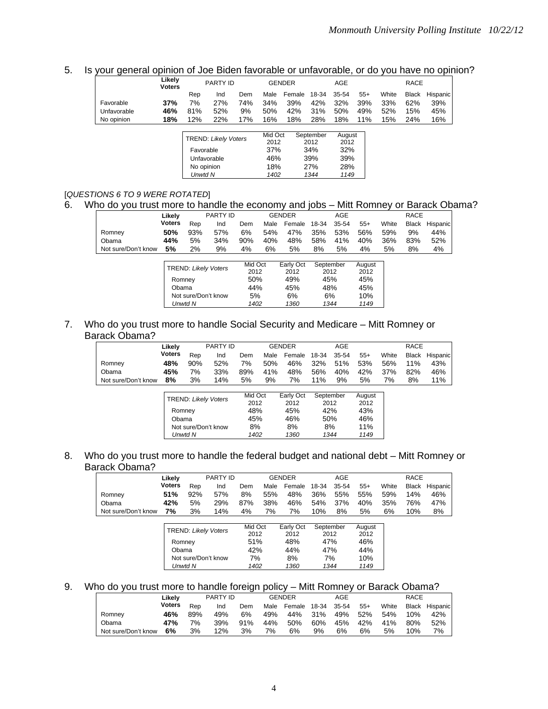# 5. Is your general opinion of Joe Biden favorable or unfavorable, or do you have no opinion?

|             | Likely<br><b>Voters</b> |            | PARTY ID                    |     |         | <b>GENDER</b> |           | AGE    |       | <b>RACE</b> |              |          |
|-------------|-------------------------|------------|-----------------------------|-----|---------|---------------|-----------|--------|-------|-------------|--------------|----------|
|             |                         | Rep        | Ind                         | Dem | Male    | Female        | 18-34     | 35-54  | $55+$ | White       | <b>Black</b> | Hispanic |
| Favorable   | 37%                     | 7%         | 27%                         | 74% | 34%     | 39%           | 42%       | 32%    | 39%   | 33%         | 62%          | 39%      |
| Unfavorable | 46%                     | 81%        | 52%                         | 9%  | 50%     | 42%           | 31%       | 50%    | 49%   | 52%         | 15%          | 45%      |
| No opinion  | 18%                     | 12%        | 22%                         | 17% | 16%     | 18%           | 28%       | 18%    | 11%   | 15%         | 24%          | 16%      |
|             |                         |            |                             |     |         |               |           |        |       |             |              |          |
|             |                         |            | <b>TREND: Likely Voters</b> |     | Mid Oct |               | September | August |       |             |              |          |
|             |                         |            |                             |     | 2012    |               | 2012      | 2012   |       |             |              |          |
|             |                         | Favorable  |                             |     | 37%     |               | 34%       | 32%    |       |             |              |          |
|             |                         |            | Unfavorable                 |     | 46%     |               | 39%       | 39%    |       |             |              |          |
|             |                         | No opinion |                             |     | 18%     |               | 27%       | 28%    |       |             |              |          |
|             |                         | Unwtd N    |                             |     | 1402    |               | 1344      | 1149   |       |             |              |          |

#### [*QUESTIONS 6 TO 9 WERE ROTATED*]

# 6. Who do you trust more to handle the economy and jobs – Mitt Romney or Barack Obama?

|                     | Likelv        |                             | <b>PARTY ID</b> |                 |      | <b>GENDER</b>     |       | AGE               |                |       | <b>RACE</b>  |          |
|---------------------|---------------|-----------------------------|-----------------|-----------------|------|-------------------|-------|-------------------|----------------|-------|--------------|----------|
|                     | <b>Voters</b> | Rep                         | Ind             | Dem             | Male | Female            | 18-34 | 35-54             | $55+$          | White | <b>Black</b> | Hispanic |
| Romnev              | 50%           | 93%                         | 57%             | 6%              | 54%  | 47%               | 35%   | 53%               | 56%            | 59%   | 9%           | 44%      |
| Obama               | 44%           | 5%                          | 34%             | 90%             | 40%  | 48%               | 58%   | 41%               | 40%            | 36%   | 83%          | 52%      |
| Not sure/Don't know | 5%            | 2%                          | 9%              | 4%              | 6%   | 5%                | 8%    | 5%                | 4%             | 5%    | 8%           | 4%       |
|                     |               |                             |                 |                 |      |                   |       |                   |                |       |              |          |
|                     |               | <b>TREND: Likely Voters</b> |                 | Mid Oct<br>0010 |      | Early Oct<br>0010 |       | September<br>0010 | August<br>0010 |       |              |          |

| <b>TREND: Likely Voters</b> | iviid Oct | Early Oct | September | August |
|-----------------------------|-----------|-----------|-----------|--------|
|                             | 2012      | 2012      | 2012      | 2012   |
| Romnev                      | 50%       | 49%       | 45%       | 45%    |
| Obama                       | 44%       | 45%       | 48%       | 45%    |
| Not sure/Don't know         | 5%        | 6%        | 6%        | 10%    |
| Unwtd N                     | 1402      | 1360      | 1344      | 1149   |

## 7. Who do you trust more to handle Social Security and Medicare – Mitt Romney or Barack Obama?

|                     | Likelv        |     | PARTY ID |     |      | <b>GENDER</b> | AGE   |       |       |       | RACE |                |
|---------------------|---------------|-----|----------|-----|------|---------------|-------|-------|-------|-------|------|----------------|
|                     | <b>Voters</b> | Rep | Ind      | Dem | Male | Female        | 18-34 | 35-54 | $55+$ | White |      | Black Hispanic |
| Romnev              | 48%           | 90% | 52%      | 7%  | 50%  | 46%           | 32%   | 51%   | 53%   | 56%   | 11%  | 43%            |
| Obama               | 45%           | 7%  | 33%      | 89% | 41%  | 48%           | 56%   | 40%   | 42%   | 37%   | 82%  | 46%            |
| Not sure/Don't know | 8%            | 3%  | 14%      | 5%  | 9%   | 7%            | 11%   | 9%    | 5%    | 7%    | 8%   | 11%            |

| <b>TREND: Likely Voters</b> | Mid Oct | Early Oct | September | August |
|-----------------------------|---------|-----------|-----------|--------|
|                             | 2012    | 2012      | 2012      | 2012   |
| Romney                      | 48%     | 45%       | 42%       | 43%    |
| Obama                       | 45%     | 46%       | 50%       | 46%    |
| Not sure/Don't know         | 8%      | 8%        | 8%        | 11%    |
| Unwtd N                     | 1402    | 1360      | 1344      | 1149   |

## 8. Who do you trust more to handle the federal budget and national debt – Mitt Romney or Barack Obama?

|                     | Likelv |     | PARTY ID |     | <b>GENDER</b> |        | AGE   |       |       | <b>RACE</b> |     |                |
|---------------------|--------|-----|----------|-----|---------------|--------|-------|-------|-------|-------------|-----|----------------|
|                     | Voters | Rep | Ind      | Dem | Male          | Female | 18-34 | 35-54 | $55+$ | White       |     | Black Hispanic |
| Romney              | 51%    | 92% | 57%      | 8%  | 55%           | 48%    | 36%   | 55%   | 55%   | 59%         | 14% | 46%            |
| Obama               | 42%    | 5%  | 29%      | 87% | 38%           | 46%    | 54%   | 37%   | 40%   | 35%         | 76% | 47%            |
| Not sure/Don't know | 7%     | 3%  | 14%      | 4%  | 7%            | 7%     | 10%   | 8%    | 5%    | 6%          | 10% | 8%             |

| <b>TREND: Likely Voters</b> | Mid Oct<br>2012 | Early Oct<br>2012 | September<br>2012 | August<br>2012 |
|-----------------------------|-----------------|-------------------|-------------------|----------------|
| Romney                      | 51%             | 48%               | 47%               | 46%            |
| Obama                       | 42%             | 44%               | 47%               | 44%            |
| Not sure/Don't know         | 7%              | 8%                | 7%                | 10%            |
| Unwtd N                     | 1402            | 1360              | 1344              | 1149           |

#### 9. Who do you trust more to handle foreign policy – Mitt Romney or Barack Obama?

|                     | Likelv | PARTY ID |     |         |    | <b>GENDER</b>               | AGE |    |    | RACE            |     |                      |  |
|---------------------|--------|----------|-----|---------|----|-----------------------------|-----|----|----|-----------------|-----|----------------------|--|
|                     | Voters | Rep      | Ind | Dem     |    | Male Female 18-34 35-54 55+ |     |    |    |                 |     | White Black Hispanic |  |
| Romnev              | 46%    | 89%      | 49% | 6%      |    | 49% 44% 31% 49% 52% 54% 10% |     |    |    |                 |     | 42%                  |  |
| Obama               | 47%    | 7%       | 39% | 91% 44% |    | 50% 60%                     |     |    |    | 45% 42% 41% 80% |     | 52%                  |  |
| Not sure/Don't know | 6%     | 3%       | 12% | 3%      | 7% | 6%                          | 9%  | 6% | 6% | 5%              | 10% | 7%                   |  |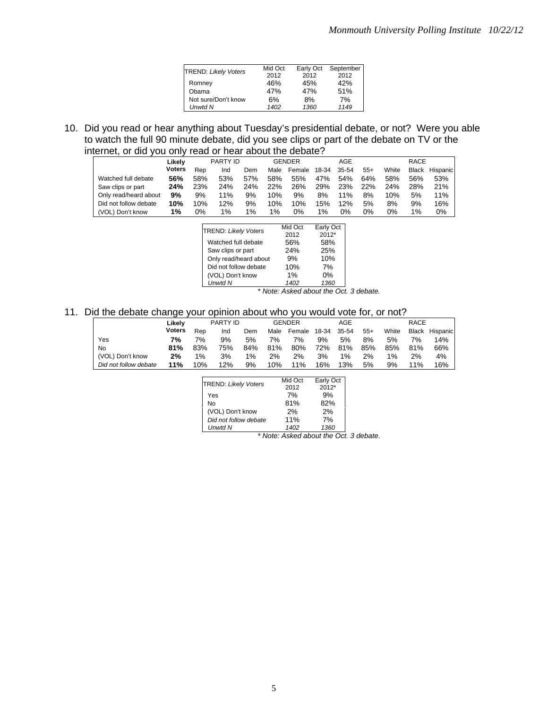| <b>TREND: Likely Voters</b> | Mid Oct | Early Oct | September |
|-----------------------------|---------|-----------|-----------|
|                             | 2012    | 2012      | 2012      |
| Romney                      | 46%     | 45%       | 42%       |
| Obama                       | 47%     | 47%       | 51%       |
| Not sure/Don't know         | 6%      | 8%        | 7%        |
| <b>Unwtd N</b>              | 1402    | 1360      | 1149      |

10. Did you read or hear anything about Tuesday's presidential debate, or not? Were you able to watch the full 90 minute debate, did you see clips or part of the debate on TV or the internet, or did you only read or hear about the debate?

|                       | Likelv |     | <b>PARTY ID</b> |     |       | GENDER |       | AGE   |       |       | RACE  |          |
|-----------------------|--------|-----|-----------------|-----|-------|--------|-------|-------|-------|-------|-------|----------|
|                       | Voters | Rep | Ind             | Dem | Male  | Female | 18-34 | 35-54 | $55+$ | White | Black | Hispanic |
| Watched full debate   | 56%    | 58% | 53%             | 57% | 58%   | 55%    | 47%   | 54%   | 64%   | 58%   | 56%   | 53%      |
| Saw clips or part     | 24%    | 23% | 24%             | 24% | 22%   | 26%    | 29%   | 23%   | 22%   | 24%   | 28%   | 21%      |
| Only read/heard about | 9%     | 9%  | 11%             | 9%  | 10%   | 9%     | 8%    | 11%   | 8%    | 10%   | 5%    | 11%      |
| Did not follow debate | 10%    | 10% | 12%             | 9%  | 10%   | 10%    | 15%   | 12%   | 5%    | 8%    | 9%    | 16%      |
| (VOL) Don't know      | 1%     | 0%  | $1\%$           | 1%  | $1\%$ | 0%     | $1\%$ | 0%    | 0%    | 0%    | $1\%$ | 0%       |

| <b>TREND: Likely Voters</b> | Mid Oct | Early Oct |
|-----------------------------|---------|-----------|
|                             | 2012    | $2012*$   |
| Watched full debate         | 56%     | 58%       |
| Saw clips or part           | 24%     | 25%       |
| Only read/heard about       | 9%      | 10%       |
| Did not follow debate       | 10%     | 7%        |
| (VOL) Don't know            | 1%      | $0\%$     |
| <b>Unwtd N</b>              | 1402    | 1360      |

 *\* Note: Asked about the Oct. 3 debate.* 

# 11. Did the debate change your opinion about who you would vote for, or not?

|                       | Likelv | PARTY ID |     |       |      | <b>GENDER</b> | AGE   |       |       | <b>RACE</b> |              |          |
|-----------------------|--------|----------|-----|-------|------|---------------|-------|-------|-------|-------------|--------------|----------|
|                       | Voters | Rep      | Ind | Dem   | Male | Female        | 18-34 | 35-54 | $55+$ | White       | <b>Black</b> | Hispanic |
| Yes                   | 7%     | 7%       | 9%  | 5%    | 7%   | 7%            | 9%    | 5%    | 8%    | 5%          | 7%           | 14%      |
| No                    | 81%    | 83%      | 75% | 84%   | 81%  | 80%           | 72%   | 81%   | 85%   | 85%         | 81%          | 66%      |
| (VOL) Don't know      | 2%     | $1\%$    | 3%  | $1\%$ | 2%   | 2%            | 3%    | $1\%$ | 2%    | $1\%$       | 2%           | 4%       |
| Did not follow debate | 11%    | 10%      | 12% | 9%    | 10%  | 11%           | 16%   | 13%   | 5%    | 9%          | 11%          | 16%      |

| <b>TREND: Likely Voters</b> | Mid Oct | Early Oct |
|-----------------------------|---------|-----------|
|                             | 2012    | $2012*$   |
| Yes                         | 7%      | 9%        |
| No                          | 81%     | 82%       |
| (VOL) Don't know            | 2%      | 2%        |
| Did not follow debate       | 11%     | 7%        |
| Unwtd N                     | 1402    | 1360      |

 *\* Note: Asked about the Oct. 3 debate.*